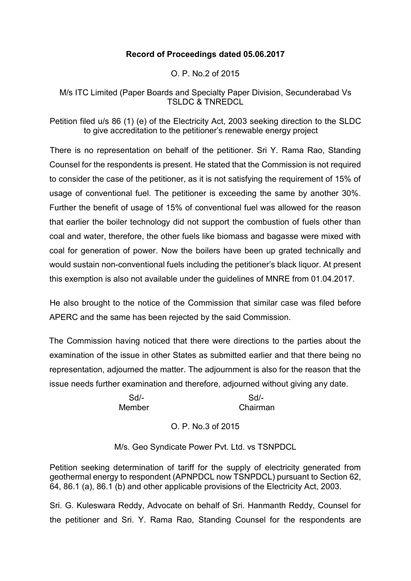# **Record of Proceedings dated 05.06.2017**

O. P. No.2 of 2015

M/s ITC Limited (Paper Boards and Specialty Paper Division, Secunderabad Vs TSLDC & TNREDCL

Petition filed u/s 86 (1) (e) of the Electricity Act, 2003 seeking direction to the SLDC to give accreditation to the petitioner's renewable energy project

There is no representation on behalf of the petitioner. Sri Y. Rama Rao, Standing Counsel for the respondents is present. He stated that the Commission is not required to consider the case of the petitioner, as it is not satisfying the requirement of 15% of usage of conventional fuel. The petitioner is exceeding the same by another 30%. Further the benefit of usage of 15% of conventional fuel was allowed for the reason that earlier the boiler technology did not support the combustion of fuels other than coal and water, therefore, the other fuels like biomass and bagasse were mixed with coal for generation of power. Now the boilers have been up grated technically and would sustain non-conventional fuels including the petitioner's black liquor. At present this exemption is also not available under the guidelines of MNRE from 01.04.2017.

He also brought to the notice of the Commission that similar case was filed before APERC and the same has been rejected by the said Commission.

The Commission having noticed that there were directions to the parties about the examination of the issue in other States as submitted earlier and that there being no representation, adjourned the matter. The adjournment is also for the reason that the issue needs further examination and therefore, adjourned without giving any date.

Sd/- Sd/- Member Chairman

# O. P. No.3 of 2015

M/s. Geo Syndicate Power Pvt. Ltd. vs TSNPDCL

Petition seeking determination of tariff for the supply of electricity generated from geothermal energy to respondent (APNPDCL now TSNPDCL) pursuant to Section 62, 64, 86.1 (a), 86.1 (b) and other applicable provisions of the Electricity Act, 2003.

Sri. G. Kuleswara Reddy, Advocate on behalf of Sri. Hanmanth Reddy, Counsel for the petitioner and Sri. Y. Rama Rao, Standing Counsel for the respondents are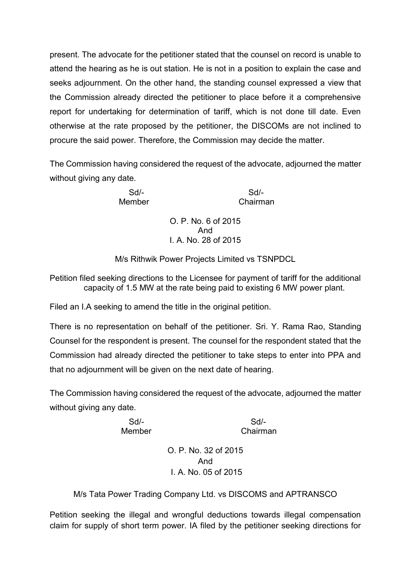present. The advocate for the petitioner stated that the counsel on record is unable to attend the hearing as he is out station. He is not in a position to explain the case and seeks adjournment. On the other hand, the standing counsel expressed a view that the Commission already directed the petitioner to place before it a comprehensive report for undertaking for determination of tariff, which is not done till date. Even otherwise at the rate proposed by the petitioner, the DISCOMs are not inclined to procure the said power. Therefore, the Commission may decide the matter.

The Commission having considered the request of the advocate, adjourned the matter without giving any date.

Sd/- Sd/- Member Chairman

> O. P. No. 6 of 2015 And I. A. No. 28 of 2015

M/s Rithwik Power Projects Limited vs TSNPDCL

Petition filed seeking directions to the Licensee for payment of tariff for the additional capacity of 1.5 MW at the rate being paid to existing 6 MW power plant.

Filed an I.A seeking to amend the title in the original petition.

There is no representation on behalf of the petitioner. Sri. Y. Rama Rao, Standing Counsel for the respondent is present. The counsel for the respondent stated that the Commission had already directed the petitioner to take steps to enter into PPA and that no adjournment will be given on the next date of hearing.

The Commission having considered the request of the advocate, adjourned the matter without giving any date.

Sd/- Sd/- Member Chairman

> O. P. No. 32 of 2015 And I. A. No. 05 of 2015

M/s Tata Power Trading Company Ltd. vs DISCOMS and APTRANSCO

Petition seeking the illegal and wrongful deductions towards illegal compensation claim for supply of short term power. IA filed by the petitioner seeking directions for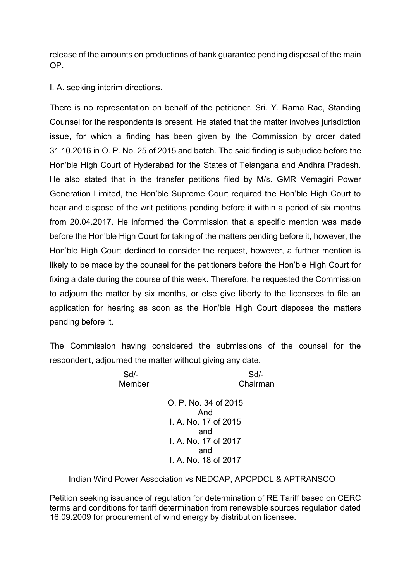release of the amounts on productions of bank guarantee pending disposal of the main OP.

I. A. seeking interim directions.

There is no representation on behalf of the petitioner. Sri. Y. Rama Rao, Standing Counsel for the respondents is present. He stated that the matter involves jurisdiction issue, for which a finding has been given by the Commission by order dated 31.10.2016 in O. P. No. 25 of 2015 and batch. The said finding is subjudice before the Hon'ble High Court of Hyderabad for the States of Telangana and Andhra Pradesh. He also stated that in the transfer petitions filed by M/s. GMR Vemagiri Power Generation Limited, the Hon'ble Supreme Court required the Hon'ble High Court to hear and dispose of the writ petitions pending before it within a period of six months from 20.04.2017. He informed the Commission that a specific mention was made before the Hon'ble High Court for taking of the matters pending before it, however, the Hon'ble High Court declined to consider the request, however, a further mention is likely to be made by the counsel for the petitioners before the Hon'ble High Court for fixing a date during the course of this week. Therefore, he requested the Commission to adjourn the matter by six months, or else give liberty to the licensees to file an application for hearing as soon as the Hon'ble High Court disposes the matters pending before it.

The Commission having considered the submissions of the counsel for the respondent, adjourned the matter without giving any date.

> Sd/- Sd/- Member Chairman O. P. No. 34 of 2015 And

I. A. No. 17 of 2015 and I. A. No. 17 of 2017 and I. A. No. 18 of 2017

Indian Wind Power Association vs NEDCAP, APCPDCL & APTRANSCO

Petition seeking issuance of regulation for determination of RE Tariff based on CERC terms and conditions for tariff determination from renewable sources regulation dated 16.09.2009 for procurement of wind energy by distribution licensee.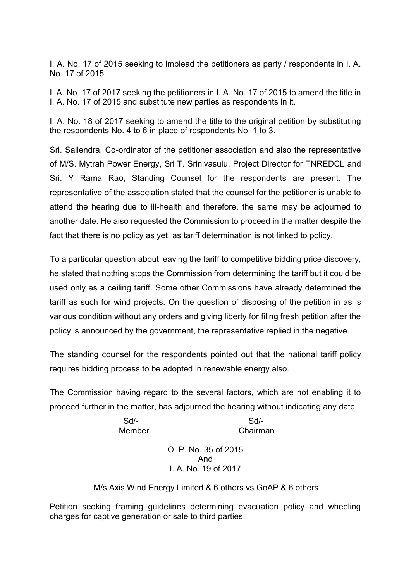I. A. No. 17 of 2015 seeking to implead the petitioners as party / respondents in I. A. No. 17 of 2015

I. A. No. 17 of 2017 seeking the petitioners in I. A. No. 17 of 2015 to amend the title in I. A. No. 17 of 2015 and substitute new parties as respondents in it.

I. A. No. 18 of 2017 seeking to amend the title to the original petition by substituting the respondents No. 4 to 6 in place of respondents No. 1 to 3.

Sri. Sailendra, Co-ordinator of the petitioner association and also the representative of M/S. Mytrah Power Energy, Sri T. Srinivasulu, Project Director for TNREDCL and Sri. Y Rama Rao, Standing Counsel for the respondents are present. The representative of the association stated that the counsel for the petitioner is unable to attend the hearing due to ill-health and therefore, the same may be adjourned to another date. He also requested the Commission to proceed in the matter despite the fact that there is no policy as yet, as tariff determination is not linked to policy.

To a particular question about leaving the tariff to competitive bidding price discovery, he stated that nothing stops the Commission from determining the tariff but it could be used only as a ceiling tariff. Some other Commissions have already determined the tariff as such for wind projects. On the question of disposing of the petition in as is various condition without any orders and giving liberty for filing fresh petition after the policy is announced by the government, the representative replied in the negative.

The standing counsel for the respondents pointed out that the national tariff policy requires bidding process to be adopted in renewable energy also.

The Commission having regard to the several factors, which are not enabling it to proceed further in the matter, has adjourned the hearing without indicating any date.

> Sd/- Sd/- Member Chairman

> > O. P. No. 35 of 2015 And I. A. No. 19 of 2017

M/s Axis Wind Energy Limited & 6 others vs GoAP & 6 others

Petition seeking framing guidelines determining evacuation policy and wheeling charges for captive generation or sale to third parties.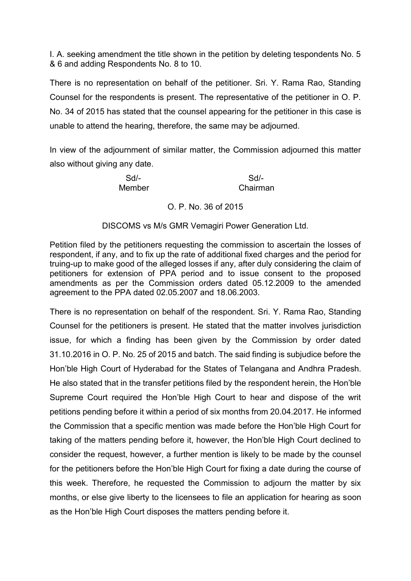I. A. seeking amendment the title shown in the petition by deleting tespondents No. 5 & 6 and adding Respondents No. 8 to 10.

There is no representation on behalf of the petitioner. Sri. Y. Rama Rao, Standing Counsel for the respondents is present. The representative of the petitioner in O. P. No. 34 of 2015 has stated that the counsel appearing for the petitioner in this case is unable to attend the hearing, therefore, the same may be adjourned.

In view of the adjournment of similar matter, the Commission adjourned this matter also without giving any date.

Sd/- Sd/- Member Chairman

## O. P. No. 36 of 2015

## DISCOMS vs M/s GMR Vemagiri Power Generation Ltd.

Petition filed by the petitioners requesting the commission to ascertain the losses of respondent, if any, and to fix up the rate of additional fixed charges and the period for truing-up to make good of the alleged losses if any, after duly considering the claim of petitioners for extension of PPA period and to issue consent to the proposed amendments as per the Commission orders dated 05.12.2009 to the amended agreement to the PPA dated 02.05.2007 and 18.06.2003.

There is no representation on behalf of the respondent. Sri. Y. Rama Rao, Standing Counsel for the petitioners is present. He stated that the matter involves jurisdiction issue, for which a finding has been given by the Commission by order dated 31.10.2016 in O. P. No. 25 of 2015 and batch. The said finding is subjudice before the Hon'ble High Court of Hyderabad for the States of Telangana and Andhra Pradesh. He also stated that in the transfer petitions filed by the respondent herein, the Hon'ble Supreme Court required the Hon'ble High Court to hear and dispose of the writ petitions pending before it within a period of six months from 20.04.2017. He informed the Commission that a specific mention was made before the Hon'ble High Court for taking of the matters pending before it, however, the Hon'ble High Court declined to consider the request, however, a further mention is likely to be made by the counsel for the petitioners before the Hon'ble High Court for fixing a date during the course of this week. Therefore, he requested the Commission to adjourn the matter by six months, or else give liberty to the licensees to file an application for hearing as soon as the Hon'ble High Court disposes the matters pending before it.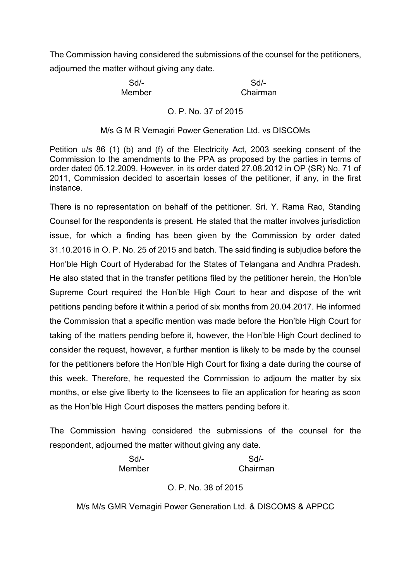The Commission having considered the submissions of the counsel for the petitioners, adjourned the matter without giving any date.

Member Chairman

Sd/- Sd/-

#### O. P. No. 37 of 2015

#### M/s G M R Vemagiri Power Generation Ltd. vs DISCOMs

Petition u/s 86 (1) (b) and (f) of the Electricity Act, 2003 seeking consent of the Commission to the amendments to the PPA as proposed by the parties in terms of order dated 05.12.2009. However, in its order dated 27.08.2012 in OP (SR) No. 71 of 2011, Commission decided to ascertain losses of the petitioner, if any, in the first instance.

There is no representation on behalf of the petitioner. Sri. Y. Rama Rao, Standing Counsel for the respondents is present. He stated that the matter involves jurisdiction issue, for which a finding has been given by the Commission by order dated 31.10.2016 in O. P. No. 25 of 2015 and batch. The said finding is subjudice before the Hon'ble High Court of Hyderabad for the States of Telangana and Andhra Pradesh. He also stated that in the transfer petitions filed by the petitioner herein, the Hon'ble Supreme Court required the Hon'ble High Court to hear and dispose of the writ petitions pending before it within a period of six months from 20.04.2017. He informed the Commission that a specific mention was made before the Hon'ble High Court for taking of the matters pending before it, however, the Hon'ble High Court declined to consider the request, however, a further mention is likely to be made by the counsel for the petitioners before the Hon'ble High Court for fixing a date during the course of this week. Therefore, he requested the Commission to adjourn the matter by six months, or else give liberty to the licensees to file an application for hearing as soon as the Hon'ble High Court disposes the matters pending before it.

The Commission having considered the submissions of the counsel for the respondent, adjourned the matter without giving any date.

> Sd/- Sd/- Member Chairman

O. P. No. 38 of 2015

M/s M/s GMR Vemagiri Power Generation Ltd. & DISCOMS & APPCC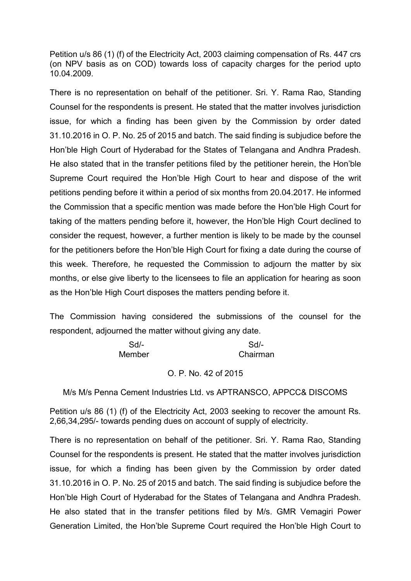Petition u/s 86 (1) (f) of the Electricity Act, 2003 claiming compensation of Rs. 447 crs (on NPV basis as on COD) towards loss of capacity charges for the period upto 10.04.2009.

There is no representation on behalf of the petitioner. Sri. Y. Rama Rao, Standing Counsel for the respondents is present. He stated that the matter involves jurisdiction issue, for which a finding has been given by the Commission by order dated 31.10.2016 in O. P. No. 25 of 2015 and batch. The said finding is subjudice before the Hon'ble High Court of Hyderabad for the States of Telangana and Andhra Pradesh. He also stated that in the transfer petitions filed by the petitioner herein, the Hon'ble Supreme Court required the Hon'ble High Court to hear and dispose of the writ petitions pending before it within a period of six months from 20.04.2017. He informed the Commission that a specific mention was made before the Hon'ble High Court for taking of the matters pending before it, however, the Hon'ble High Court declined to consider the request, however, a further mention is likely to be made by the counsel for the petitioners before the Hon'ble High Court for fixing a date during the course of this week. Therefore, he requested the Commission to adjourn the matter by six months, or else give liberty to the licensees to file an application for hearing as soon as the Hon'ble High Court disposes the matters pending before it.

The Commission having considered the submissions of the counsel for the respondent, adjourned the matter without giving any date.

| $Sd$ - | Sd       |
|--------|----------|
| Member | Chairman |

#### O. P. No. 42 of 2015

M/s M/s Penna Cement Industries Ltd. vs APTRANSCO, APPCC& DISCOMS

Petition u/s 86 (1) (f) of the Electricity Act, 2003 seeking to recover the amount Rs. 2,66,34,295/- towards pending dues on account of supply of electricity.

There is no representation on behalf of the petitioner. Sri. Y. Rama Rao, Standing Counsel for the respondents is present. He stated that the matter involves jurisdiction issue, for which a finding has been given by the Commission by order dated 31.10.2016 in O. P. No. 25 of 2015 and batch. The said finding is subjudice before the Hon'ble High Court of Hyderabad for the States of Telangana and Andhra Pradesh. He also stated that in the transfer petitions filed by M/s. GMR Vemagiri Power Generation Limited, the Hon'ble Supreme Court required the Hon'ble High Court to